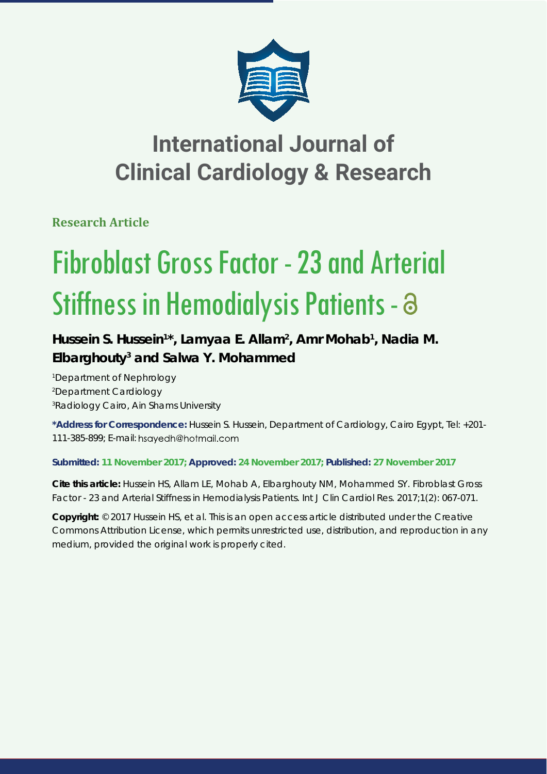

# **International Journal of Clinical Cardiology & Research**

**Research Article**

# Fibroblast Gross Factor - 23 and Arterial Stiffness in Hemodialysis Patients - a

## Hussein S. Hussein<sup>1\*</sup>, Lamyaa E. Allam<sup>2</sup>, Amr Mohab<sup>1</sup>, Nadia M. **Elbarghouty3 and Salwa Y. Mohammed**

*1 Department of Nephrology 2 Department Cardiology 3 Radiology Cairo, Ain Shams University*

**\*Address for Correspondence:** Hussein S. Hussein, Department of Cardiology, Cairo Egypt, Tel: +201- 111-385-899; E-mail:

### **Submitted: 11 November 2017; Approved: 24 November 2017; Published: 27 November 2017**

**Cite this article:** Hussein HS, Allam LE, Mohab A, Elbarghouty NM, Mohammed SY. Fibroblast Gross Factor - 23 and Arterial Stiffness in Hemodialysis Patients. Int J Clin Cardiol Res. 2017;1(2): 067-071.

**Copyright:** © 2017 Hussein HS, et al. This is an open access article distributed under the Creative Commons Attribution License, which permits unrestricted use, distribution, and reproduction in any medium, provided the original work is properly cited.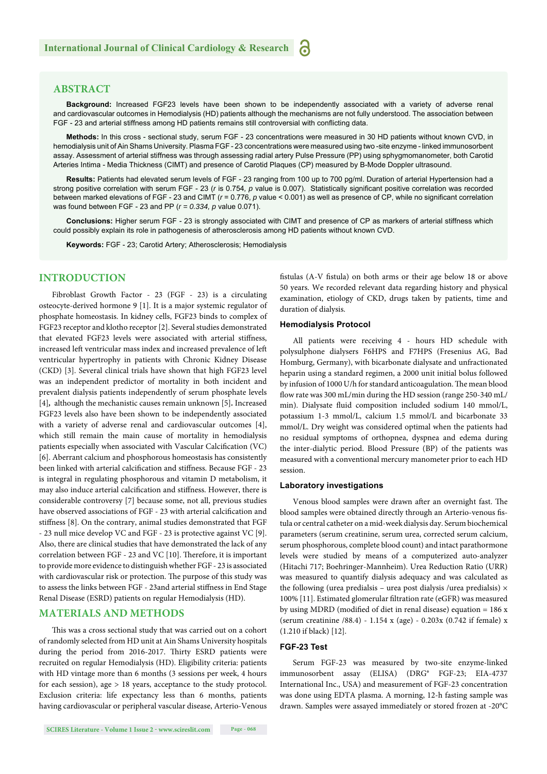#### **ABSTRACT**

**Background:** Increased FGF23 levels have been shown to be independently associated with a variety of adverse renal and cardiovascular outcomes in Hemodialysis (HD) patients although the mechanisms are not fully understood. The association between FGF - 23 and arterial stiffness among HD patients remains still controversial with conflicting data.

**Methods:** In this cross - sectional study, serum FGF - 23 concentrations were measured in 30 HD patients without known CVD, in hemodialysis unit of Ain Shams University. Plasma FGF - 23 concentrations were measured using two -site enzyme - linked immunosorbent assay. Assessment of arterial stiffness was through assessing radial artery Pulse Pressure (PP) using sphygmomanometer, both Carotid Arteries Intima - Media Thickness (CIMT) and presence of Carotid Plaques (CP) measured by B-Mode Doppler ultrasound.

**Results:** Patients had elevated serum levels of FGF - 23 ranging from 100 up to 700 pg/ml. Duration of arterial Hypertension had a strong positive correlation with serum FGF - 23 (*r* is 0.754, *p* value is 0.007). Statistically significant positive correlation was recorded between marked elevations of FGF - 23 and CIMT ( $r = 0.776$ ,  $p$  value < 0.001) as well as presence of CP, while no significant correlation was found between FGF - 23 and PP (*r = 0.334, p* value 0.071).

**Conclusions:** Higher serum FGF - 23 is strongly associated with CIMT and presence of CP as markers of arterial stiffness which could possibly explain its role in pathogenesis of atherosclerosis among HD patients without known CVD.

**Keywords:** FGF - 23; Carotid Artery; Atherosclerosis; Hemodialysis

#### **INTRODUCTION**

Fibroblast Growth Factor - 23 (FGF - 23) is a circulating osteocyte-derived hormone 9 [1]. It is a major systemic regulator of phosphate homeostasis. In kidney cells, FGF23 binds to complex of FGF23 receptor and klotho receptor [2]. Several studies demonstrated that elevated FGF23 levels were associated with arterial stiffness, increased left ventricular mass index and increased prevalence of left ventricular hypertrophy in patients with Chronic Kidney Disease (CKD) [3]. Several clinical trials have shown that high FGF23 level was an independent predictor of mortality in both incident and prevalent dialysis patients independently of serum phosphate levels [4]*,* although the mechanistic causes remain unknown [5]*.* Increased FGF23 levels also have been shown to be independently associated with a variety of adverse renal and cardiovascular outcomes [4], which still remain the main cause of mortality in hemodialysis patients especially when associated with Vascular Calcification (VC) [6]. Aberrant calcium and phosphorous homeostasis has consistently been linked with arterial calcification and stiffness. Because FGF - 23 is integral in regulating phosphorous and vitamin D metabolism, it may also induce arterial calcification and stiffness. However, there is considerable controversy [7] because some, not all, previous studies have observed associations of FGF - 23 with arterial calcification and stiffness [8]. On the contrary, animal studies demonstrated that FGF - 23 null mice develop VC and FGF - 23 is protective against VC [9]. Also, there are clinical studies that have demonstrated the lack of any correlation between FGF - 23 and VC  $[10]$ . Therefore, it is important to provide more evidence to distinguish whether FGF - 23 is associated with cardiovascular risk or protection. The purpose of this study was to assess the links between FGF - 23and arterial stiffness in End Stage Renal Disease (ESRD) patients on regular Hemodialysis (HD).

#### **MATERIALS AND METHODS**

This was a cross sectional study that was carried out on a cohort of randomly selected from HD unit at Ain Shams University hospitals during the period from 2016-2017. Thirty ESRD patients were recruited on regular Hemodialysis (HD). Eligibility criteria: patients with HD vintage more than 6 months (3 sessions per week, 4 hours for each session), age > 18 years, acceptance to the study protocol. Exclusion criteria: life expectancy less than 6 months, patients having cardiovascular or peripheral vascular disease, Arterio-Venous fistulas (A-V fistula) on both arms or their age below 18 or above 50 years. We recorded relevant data regarding history and physical examination, etiology of CKD, drugs taken by patients, time and duration of dialysis.

#### **Hemodialysis Protocol**

All patients were receiving 4 - hours HD schedule with polysulphone dialysers F6HPS and F7HPS (Fresenius AG, Bad Homburg, Germany), with bicarbonate dialysate and unfractionated heparin using a standard regimen, a 2000 unit initial bolus followed by infusion of 1000 U/h for standard anticoagulation. The mean blood flow rate was 300 mL/min during the HD session (range 250-340 mL/ min). Dialysate fluid composition included sodium 140 mmol/L, potassium 1-3 mmol/L, calcium 1.5 mmol/L and bicarbonate 33 mmol/L. Dry weight was considered optimal when the patients had no residual symptoms of orthopnea, dyspnea and edema during the inter-dialytic period. Blood Pressure (BP) of the patients was measured with a conventional mercury manometer prior to each HD session.

#### **Laboratory investigations**

Venous blood samples were drawn after an overnight fast. The blood samples were obtained directly through an Arterio-venous fistula or central catheter on a mid-week dialysis day. Serum biochemical parameters (serum creatinine, serum urea, corrected serum calcium, serum phosphorous, complete blood count) and intact parathormone levels were studied by means of a computerized auto-analyzer (Hitachi 717; Boehringer-Mannheim). Urea Reduction Ratio (URR) was measured to quantify dialysis adequacy and was calculated as the following (urea predialsis – urea post dialysis /urea predialsis)  $\times$ 100% [11]. Estimated glomerular filtration rate (eGFR) was measured by using MDRD (modified of diet in renal disease) equation =  $186 \text{ x}$ (serum creatinine /88.4) - 1.154 x (age) - 0.203x (0.742 if female) x (1.210 if black) [12].

#### **FGF-23 Test**

Serum FGF-23 was measured by two-site enzyme-linked immunosorbent assay (ELISA) (DRG® FGF-23; EIA-4737 International Inc., USA) and measurement of FGF-23 concentration was done using EDTA plasma. A morning, 12-h fasting sample was drawn. Samples were assayed immediately or stored frozen at -20°C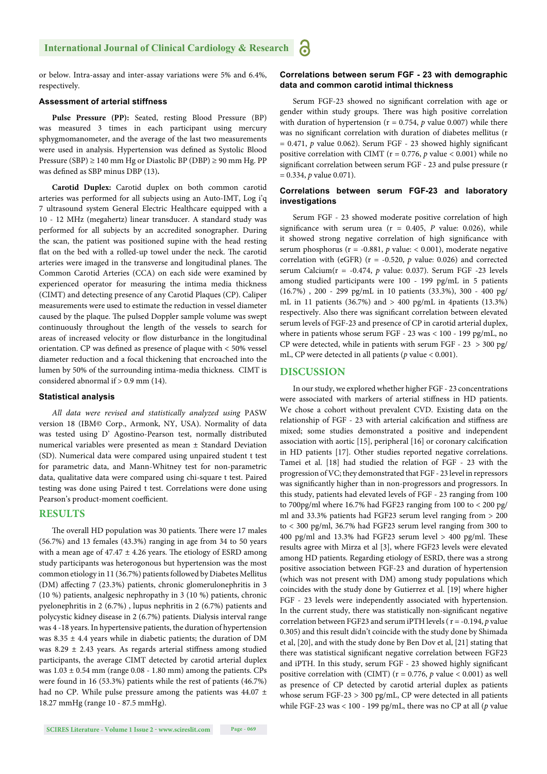or below. Intra-assay and inter-assay variations were 5% and 6.4%, respectively.

#### **Assessment of arterial stiffness**

**Pulse Pressure (PP):** Seated, resting Blood Pressure (BP) was measured 3 times in each participant using mercury sphygmomanometer, and the average of the last two measurements were used in analysis. Hypertension was defined as Systolic Blood Pressure (SBP) ≥ 140 mm Hg or Diastolic BP (DBP) ≥ 90 mm Hg. PP was defined as SBP minus DBP (13).

**Carotid Duplex:** Carotid duplex on both common carotid arteries was performed for all subjects using an Auto-IMT, Log i'q 7 ultrasound system General Electric Healthcare equipped with a 10 - 12 MHz (megahertz) linear transducer. A standard study was performed for all subjects by an accredited sonographer. During the scan, the patient was positioned supine with the head resting flat on the bed with a rolled-up towel under the neck. The carotid arteries were imaged in the transverse and longitudinal planes. The Common Carotid Arteries (CCA) on each side were examined by experienced operator for measuring the intima media thickness (CIMT) and detecting presence of any Carotid Plaques (CP). Caliper measurements were used to estimate the reduction in vessel diameter caused by the plaque. The pulsed Doppler sample volume was swept continuously throughout the length of the vessels to search for areas of increased velocity or flow disturbance in the longitudinal orientation. CP was defined as presence of plaque with  $<$  50% vessel diameter reduction and a focal thickening that encroached into the lumen by 50% of the surrounding intima-media thickness. CIMT is considered abnormal if  $> 0.9$  mm (14).

#### **Statistical analysis**

*All data were revised and statistically analyzed using* PASW version 18 (IBM© Corp., Armonk, NY, USA). Normality of data was tested using D' Agostino-Pearson test, normally distributed numerical variables were presented as mean ± Standard Deviation (SD). Numerical data were compared using unpaired student t test for parametric data, and Mann-Whitney test for non-parametric data, qualitative data were compared using chi-square t test. Paired testing was done using Paired t test. Correlations were done using Pearson's product-moment coefficient.

#### **RESULTS**

The overall HD population was 30 patients. There were 17 males (56.7%) and 13 females (43.3%) ranging in age from 34 to 50 years with a mean age of  $47.47 \pm 4.26$  years. The etiology of ESRD among study participants was heterogonous but hypertension was the most common etiology in 11 (36.7%) patients followed by Diabetes Mellitus (DM) affecting 7 (23.3%) patients, chronic glomerulonephritis in 3 (10 %) patients, analgesic nephropathy in 3 (10 %) patients, chronic pyelonephritis in 2 (6.7%) , lupus nephritis in 2 (6.7%) patients and polycystic kidney disease in 2 (6.7%) patients. Dialysis interval range was 4 -18 years. In hypertensive patients, the duration of hypertension was 8.35  $\pm$  4.4 years while in diabetic patients; the duration of DM was 8.29  $\pm$  2.43 years. As regards arterial stiffness among studied participants, the average CIMT detected by carotid arterial duplex was  $1.03 \pm 0.54$  mm (range  $0.08 - 1.80$  mm) among the patients. CPs were found in 16 (53.3%) patients while the rest of patients (46.7%) had no CP. While pulse pressure among the patients was 44.07 ± 18.27 mmHg (range 10 - 87.5 mmHg).

#### **Correlations between serum FGF - 23 with demographic data and common carotid intimal thickness**

Serum FGF-23 showed no significant correlation with age or gender within study groups. There was high positive correlation with duration of hypertension ( $r = 0.754$ ,  $p$  value 0.007) while there was no significant correlation with duration of diabetes mellitus (r  $= 0.471$ ,  $p$  value 0.062). Serum FGF - 23 showed highly significant positive correlation with CIMT (r = 0.776, *p* value < 0.001) while no significant correlation between serum FGF - 23 and pulse pressure (r = 0.334, *p* value 0.071).

#### **Correlations between serum FGF-23 and laboratory investigations**

Serum FGF - 23 showed moderate positive correlation of high significance with serum urea ( $r = 0.405$ ,  $P$  value: 0.026), while it showed strong negative correlation of high significance with serum phosphorus ( $r = -0.881$ ,  $p$  value: < 0.001), moderate negative correlation with (eGFR) ( $r = -0.520$ ,  $p$  value: 0.026) and corrected serum Calcium(r = -0.474, *p* value: 0.037). Serum FGF -23 levels among studied participants were 100 - 199 pg/mL in 5 patients (16.7%) , 200 - 299 pg/mL in 10 patients (33.3%), 300 - 400 pg/ mL in 11 patients (36.7%) and  $> 400$  pg/mL in 4patients (13.3%) respectively. Also there was significant correlation between elevated serum levels of FGF-23 and presence of CP in carotid arterial duplex, where in patients whose serum FGF - 23 was < 100 - 199 pg/mL, no CP were detected, while in patients with serum FGF - 23 > 300 pg/ mL, CP were detected in all patients (*p* value < 0.001).

#### **DISCUSSION**

In our study, we explored whether higher FGF - 23 concentrations were associated with markers of arterial stiffness in HD patients. We chose a cohort without prevalent CVD. Existing data on the relationship of FGF - 23 with arterial calcification and stiffness are mixed; some studies demonstrated a positive and independent association with aortic [15], peripheral [16] or coronary calcification in HD patients [17]. Other studies reported negative correlations. Tamei et al. [18] had studied the relation of FGF - 23 with the progression of VC; they demonstrated that FGF - 23 level in repressors was significantly higher than in non-progressors and progressors. In this study, patients had elevated levels of FGF - 23 ranging from 100 to 700pg/ml where 16.7% had FGF23 ranging from 100 to < 200 pg/ ml and 33.3% patients had FGF23 serum level ranging from > 200 to < 300 pg/ml, 36.7% had FGF23 serum level ranging from 300 to 400 pg/ml and 13.3% had FGF23 serum level  $> 400$  pg/ml. These results agree with Mirza et al [3], where FGF23 levels were elevated among HD patients. Regarding etiology of ESRD, there was a strong positive association between FGF-23 and duration of hypertension (which was not present with DM) among study populations which coincides with the study done by Gutierrez et al. [19] where higher FGF - 23 levels were independently associated with hypertension. In the current study, there was statistically non-significant negative correlation between FGF23 and serum iPTH levels ( r = -0.194, *p* value 0.305) and this result didn't coincide with the study done by Shimada et al, [20], and with the study done by Ben Dov et al, [21] stating that there was statistical significant negative correlation between FGF23 and iPTH. In this study, serum FGF - 23 showed highly significant positive correlation with (CIMT) (r = 0.776, *p* value < 0.001) as well as presence of CP detected by carotid arterial duplex as patients whose serum FGF-23 > 300 pg/mL, CP were detected in all patients while FGF-23 was < 100 - 199 pg/mL, there was no CP at all (*p* value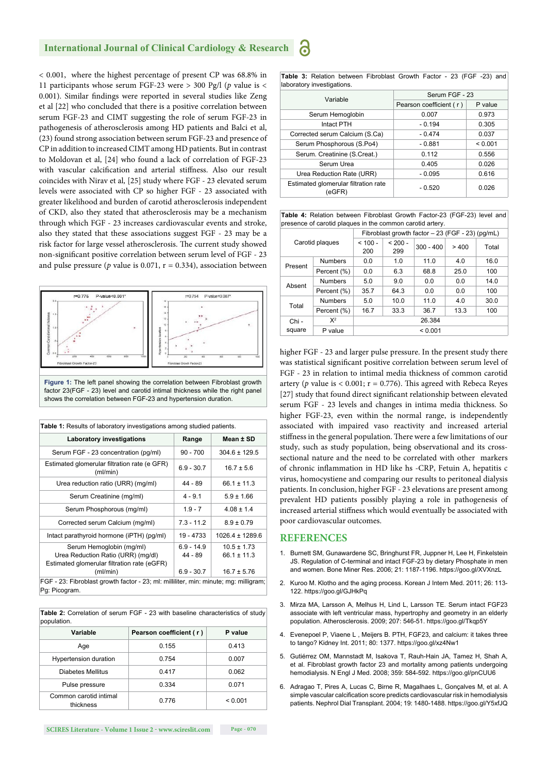#### **International Journal of Clinical Cardiology & Research**

< 0.001, where the highest percentage of present CP was 68.8% in 11 participants whose serum FGF-23 were > 300 Pg/l (*p* value is < 0.001). Similar findings were reported in several studies like Zeng et al [22] who concluded that there is a positive correlation between serum FGF-23 and CIMT suggesting the role of serum FGF-23 in pathogenesis of atherosclerosis among HD patients and Balci et al, (23) found strong association between serum FGF-23 and presence of CP in addition to increased CIMT among HD patients. But in contrast to Moldovan et al, [24] who found a lack of correlation of FGF-23 with vascular calcification and arterial stiffness. Also our result coincides with Nirav et al*,* [25] study where FGF - 23 elevated serum levels were associated with CP so higher FGF - 23 associated with greater likelihood and burden of carotid atherosclerosis independent of CKD, also they stated that atherosclerosis may be a mechanism through which FGF - 23 increases cardiovascular events and stroke, also they stated that these associations suggest FGF - 23 may be a risk factor for large vessel atherosclerosis. The current study showed non-significant positive correlation between serum level of FGF - 23 and pulse pressure ( $p$  value is 0.071,  $r = 0.334$ ), association between



factor 23(FGF - 23) level and carotid intimal thickness while the right panel shows the correlation between FGF-23 and hypertension duration.

| <b>Laboratory investigations</b>                                                                                          | Range                                     | Mean ± SD                                             |  |  |
|---------------------------------------------------------------------------------------------------------------------------|-------------------------------------------|-------------------------------------------------------|--|--|
| Serum FGF - 23 concentration (pg/ml)                                                                                      | $90 - 700$                                | $304.6 \pm 129.5$                                     |  |  |
| Estimated glomerular filtration rate (e GFR)<br>(ml/min)                                                                  | $6.9 - 30.7$                              | $16.7 \pm 5.6$                                        |  |  |
| Urea reduction ratio (URR) (mg/ml)                                                                                        | $44 - 89$                                 | $66.1 \pm 11.3$                                       |  |  |
| Serum Creatinine (mg/ml)                                                                                                  | $4 - 9.1$                                 | $5.9 \pm 1.66$                                        |  |  |
| Serum Phosphorous (mg/ml)                                                                                                 | $1.9 - 7$                                 | $4.08 \pm 1.4$                                        |  |  |
| Corrected serum Calcium (mg/ml)                                                                                           | $7.3 - 11.2$                              | $8.9 \pm 0.79$                                        |  |  |
| Intact parathyroid hormone (iPTH) (pg/ml)                                                                                 | $19 - 4733$                               | $1026.4 \pm 1289.6$                                   |  |  |
| Serum Hemoglobin (mg/ml)<br>Urea Reduction Ratio (URR) (mg/dl)<br>Estimated glomerular filtration rate (eGFR)<br>(ml/min) | $6.9 - 14.9$<br>$44 - 89$<br>$6.9 - 30.7$ | $10.5 \pm 1.73$<br>$66.1 \pm 11.3$<br>$16.7 \pm 5.76$ |  |  |

**Table 2:** Correlation of serum FGF - 23 with baseline characteristics of study population.

| Variable                            | Pearson coefficient (r) | P value |  |  |
|-------------------------------------|-------------------------|---------|--|--|
| Age                                 | 0.155                   | 0.413   |  |  |
| Hypertension duration               | 0.754                   | 0.007   |  |  |
| Diabetes Mellitus                   | 0.417                   | 0.062   |  |  |
| Pulse pressure                      | 0.334                   | 0.071   |  |  |
| Common carotid intimal<br>thickness | 0.776                   | < 0.001 |  |  |

**SCIRES Literature - Volume 1 Issue 2 - www.scireslit.com Page - 070**

አ

|                            |  |  |  | Table 3: Relation between Fibroblast Growth Factor - 23 (FGF -23) and |  |  |  |  |  |  |  |
|----------------------------|--|--|--|-----------------------------------------------------------------------|--|--|--|--|--|--|--|
| laboratory investigations. |  |  |  |                                                                       |  |  |  |  |  |  |  |

| Variable                                       | Serum FGF - 23          |         |  |  |
|------------------------------------------------|-------------------------|---------|--|--|
|                                                | Pearson coefficient (r) | P value |  |  |
| Serum Hemoglobin                               | 0.007                   | 0.973   |  |  |
| Intact PTH                                     | $-0.194$                | 0.305   |  |  |
| Corrected serum Calcium (S.Ca)                 | $-0.474$                | 0.037   |  |  |
| Serum Phosphorous (S.Po4)                      | $-0.881$                | < 0.001 |  |  |
| Serum. Creatinine (S.Creat.)                   | 0.112                   | 0.556   |  |  |
| Serum Urea                                     | 0.405                   | 0.026   |  |  |
| Urea Reduction Rate (URR)                      | $-0.095$                | 0.616   |  |  |
| Estimated glomerular filtration rate<br>(eGFR) | $-0.520$                | 0.026   |  |  |

**Table 4:** Relation between Fibroblast Growth Factor-23 (FGF-23) level and presence of carotid plaques in the common carotid artery.

|                 |                | Fibroblast growth factor - 23 (FGF - 23) (pg/mL) |                  |             |      |       |  |
|-----------------|----------------|--------------------------------------------------|------------------|-------------|------|-------|--|
| Carotid plaques |                | $< 100 -$<br>200                                 | $< 200 -$<br>299 | $300 - 400$ | >400 | Total |  |
| Present         | <b>Numbers</b> | 0.0                                              | 1.0              | 11.0        | 4.0  | 16.0  |  |
|                 | Percent (%)    | 0.0                                              | 6.3              | 68.8        | 25.0 | 100   |  |
| Absent          | <b>Numbers</b> | 5.0                                              | 9.0              | 0.0         | 0.0  | 14.0  |  |
|                 | Percent (%)    | 35.7                                             | 64.3             | 0.0         | 0.0  | 100   |  |
| Total           | <b>Numbers</b> | 5.0                                              | 10.0             | 11.0        | 4.0  | 30.0  |  |
|                 | Percent (%)    | 16.7                                             | 33.3             | 36.7        | 13.3 | 100   |  |
| Chi -<br>square | $X^2$          | 26.384                                           |                  |             |      |       |  |
|                 | P value        | < 0.001                                          |                  |             |      |       |  |

higher FGF - 23 and larger pulse pressure. In the present study there was statistical significant positive correlation between serum level of FGF - 23 in relation to intimal media thickness of common carotid artery ( $p$  value is  $< 0.001$ ;  $r = 0.776$ ). This agreed with Rebeca Reyes [27] study that found direct significant relationship between elevated serum FGF - 23 levels and changes in intima media thickness. So higher FGF-23, even within the normal range, is independently associated with impaired vaso reactivity and increased arterial stiffness in the general population. There were a few limitations of our study, such as study population, being observational and its crosssectional nature and the need to be correlated with other markers of chronic inflammation in HD like hs -CRP, Fetuin A, hepatitis c virus, homocystiene and comparing our results to peritoneal dialysis patients. In conclusion, higher FGF - 23 elevations are present among prevalent HD patients possibly playing a role in pathogenesis of increased arterial stiffness which would eventually be associated with poor cardiovascular outcomes.

#### **REFERENCES**

- 1. Burnett SM, Gunawardene SC, Bringhurst FR, Juppner H, Lee H, Finkelstein JS. Regulation of C-terminal and intact FGF-23 by dietary Phosphate in men and women. Bone Miner Res. 2006; 21: 1187-1196. https://goo.gl/XVXnzL
- 2. Kuroo M. Klotho and the aging process. Korean J Intern Med. 2011; 26: 113- 122. https://goo.gl/GJHkPq
- 3. Mirza MA, Larsson A, Melhus H, Lind L, Larsson TE. Serum intact FGF23 associate with left ventricular mass, hypertrophy and geometry in an elderly population. Atherosclerosis. 2009; 207: 546-51. https://goo.gl/Tkqp5Y
- 4. Evenepoel P, Viaene L , Meijers B. PTH, FGF23, and calcium: it takes three to tango? Kidney Int. 2011; 80: 1377. https://goo.gl/xz4Nw1
- 5. Gutiérrez OM, Mannstadt M, Isakova T, Rauh-Hain JA, Tamez H, Shah A, et al. Fibroblast growth factor 23 and mortality among patients undergoing hemodialysis. N Engl J Med. 2008; 359: 584-592. https://goo.gl/pnCUU6
- 6. Adragao T, Pires A, Lucas C, Birne R, Magalhaes L, Gonçalves M, et al. A simple vascular calcification score predicts cardiovascular risk in hemodialysis patients. Nephrol Dial Transplant. 2004; 19: 1480-1488. https://goo.gl/Y5xfJQ